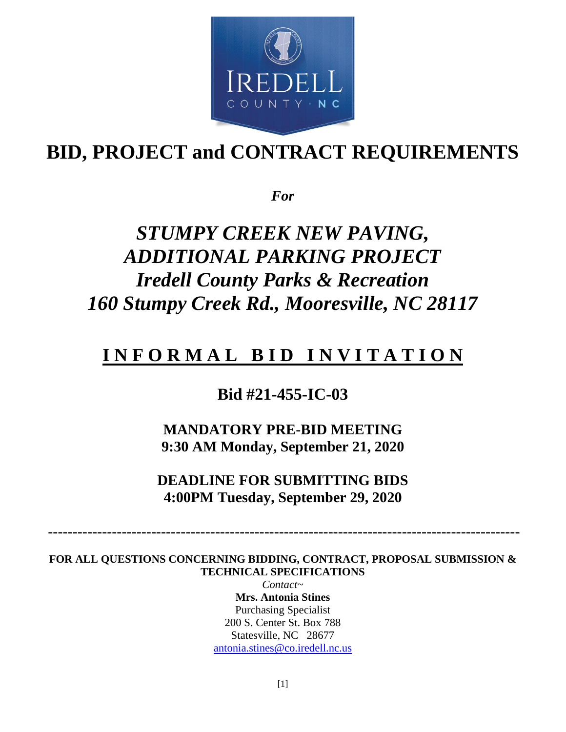

# **BID, PROJECT and CONTRACT REQUIREMENTS**

*For*

# *STUMPY CREEK NEW PAVING, ADDITIONAL PARKING PROJECT Iredell County Parks & Recreation 160 Stumpy Creek Rd., Mooresville, NC 28117*

## **I N F O R M A L B I D I N V I T A T I O N**

### **Bid #21-455-IC-03**

**MANDATORY PRE-BID MEETING 9:30 AM Monday, September 21, 2020**

**DEADLINE FOR SUBMITTING BIDS 4:00PM Tuesday, September 29, 2020**

 **------------------------------------------------------------------------------------------------**

**FOR ALL QUESTIONS CONCERNING BIDDING, CONTRACT, PROPOSAL SUBMISSION & TECHNICAL SPECIFICATIONS** 

> *Contact~* **Mrs. Antonia Stines** Purchasing Specialist 200 S. Center St. Box 788 Statesville, NC 28677 [antonia.stines@co.iredell.nc.us](mailto:antonia.stines@co.iredell.nc.us)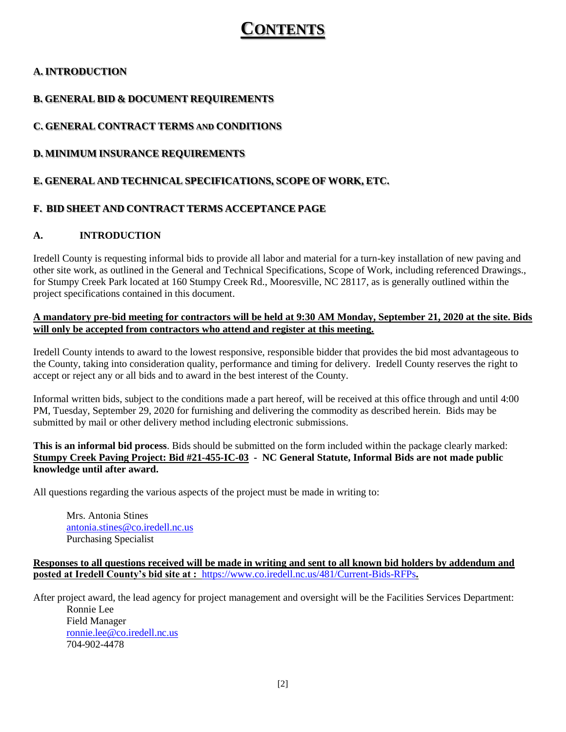## **CONTENTS**

#### **A. INTRODUCTION**

#### **B. GENERAL BID & DOCUMENT REQUIREMENTS**

#### **C. GENERAL CONTRACT TERMS AND CONDITIONS**

#### **D. MINIMUM INSURANCE REQUIREMENTS**

#### **E. GENERAL AND TECHNICAL SPECIFICATIONS, SCOPE OF WORK, ETC.**

#### **F. BID SHEET AND CONTRACT TERMS ACCEPTANCE PAGE**

#### **A. INTRODUCTION**

Iredell County is requesting informal bids to provide all labor and material for a turn-key installation of new paving and other site work, as outlined in the General and Technical Specifications, Scope of Work, including referenced Drawings., for Stumpy Creek Park located at 160 Stumpy Creek Rd., Mooresville, NC 28117, as is generally outlined within the project specifications contained in this document.

#### **A mandatory pre-bid meeting for contractors will be held at 9:30 AM Monday, September 21, 2020 at the site. Bids will only be accepted from contractors who attend and register at this meeting.**

Iredell County intends to award to the lowest responsive, responsible bidder that provides the bid most advantageous to the County, taking into consideration quality, performance and timing for delivery. Iredell County reserves the right to accept or reject any or all bids and to award in the best interest of the County.

Informal written bids, subject to the conditions made a part hereof, will be received at this office through and until 4:00 PM, Tuesday, September 29, 2020 for furnishing and delivering the commodity as described herein. Bids may be submitted by mail or other delivery method including electronic submissions.

**This is an informal bid process**. Bids should be submitted on the form included within the package clearly marked: **Stumpy Creek Paving Project: Bid #21-455-IC-03 - NC General Statute, Informal Bids are not made public knowledge until after award.** 

All questions regarding the various aspects of the project must be made in writing to:

Mrs. Antonia Stines [antonia.stines@co.iredell.nc.us](mailto:antonia.stines@co.iredell.nc.us) Purchasing Specialist

**Responses to all questions received will be made in writing and sent to all known bid holders by addendum and posted at Iredell County's bid site at :** <https://www.co.iredell.nc.us/481/Current-Bids-RFPs>**.** 

After project award, the lead agency for project management and oversight will be the Facilities Services Department: Ronnie Lee Field Manager [ronnie.lee@co.iredell.nc.us](mailto:ronnie.lee@co.iredell.nc.us) 704-902-4478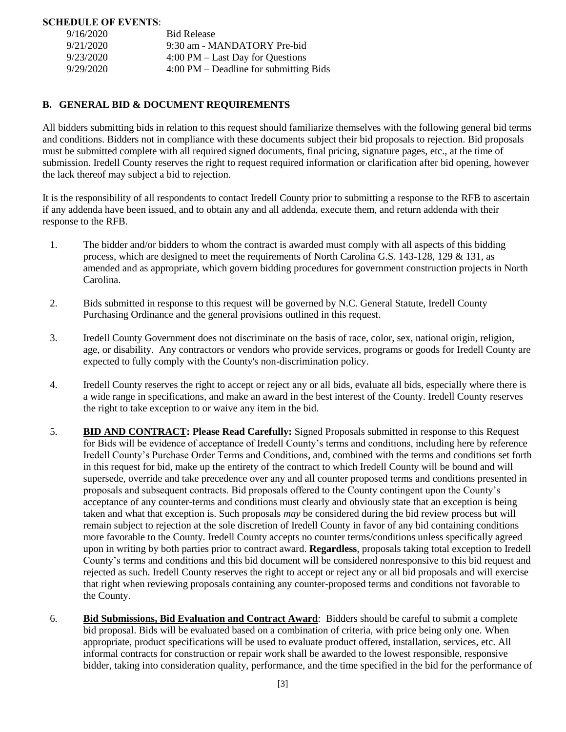#### **SCHEDULE OF EVENTS**:

| 9/16/2020 | <b>Bid Release</b>                                |
|-----------|---------------------------------------------------|
| 9/21/2020 | 9:30 am - MANDATORY Pre-bid                       |
| 9/23/2020 | $4:00 \text{ PM} - \text{Last Day}$ for Questions |
| 9/29/2020 | $4:00 \text{ PM}$ – Deadline for submitting Bids  |

#### **B. GENERAL BID & DOCUMENT REQUIREMENTS**

All bidders submitting bids in relation to this request should familiarize themselves with the following general bid terms and conditions. Bidders not in compliance with these documents subject their bid proposals to rejection. Bid proposals must be submitted complete with all required signed documents, final pricing, signature pages, etc., at the time of submission. Iredell County reserves the right to request required information or clarification after bid opening, however the lack thereof may subject a bid to rejection.

It is the responsibility of all respondents to contact Iredell County prior to submitting a response to the RFB to ascertain if any addenda have been issued, and to obtain any and all addenda, execute them, and return addenda with their response to the RFB.

- 1. The bidder and/or bidders to whom the contract is awarded must comply with all aspects of this bidding process, which are designed to meet the requirements of North Carolina G.S. 143-128, 129 & 131, as amended and as appropriate, which govern bidding procedures for government construction projects in North Carolina.
- 2. Bids submitted in response to this request will be governed by N.C. General Statute, Iredell County Purchasing Ordinance and the general provisions outlined in this request.
- 3. Iredell County Government does not discriminate on the basis of race, color, sex, national origin, religion, age, or disability. Any contractors or vendors who provide services, programs or goods for Iredell County are expected to fully comply with the County's non-discrimination policy.
- 4. Iredell County reserves the right to accept or reject any or all bids, evaluate all bids, especially where there is a wide range in specifications, and make an award in the best interest of the County. Iredell County reserves the right to take exception to or waive any item in the bid.
- 5. **BID AND CONTRACT: Please Read Carefully:** Signed Proposals submitted in response to this Request for Bids will be evidence of acceptance of Iredell County's terms and conditions, including here by reference Iredell County's Purchase Order Terms and Conditions, and, combined with the terms and conditions set forth in this request for bid, make up the entirety of the contract to which Iredell County will be bound and will supersede, override and take precedence over any and all counter proposed terms and conditions presented in proposals and subsequent contracts. Bid proposals offered to the County contingent upon the County's acceptance of any counter-terms and conditions must clearly and obviously state that an exception is being taken and what that exception is. Such proposals *may* be considered during the bid review process but will remain subject to rejection at the sole discretion of Iredell County in favor of any bid containing conditions more favorable to the County. Iredell County accepts no counter terms/conditions unless specifically agreed upon in writing by both parties prior to contract award. **Regardless**, proposals taking total exception to Iredell County's terms and conditions and this bid document will be considered nonresponsive to this bid request and rejected as such. Iredell County reserves the right to accept or reject any or all bid proposals and will exercise that right when reviewing proposals containing any counter-proposed terms and conditions not favorable to the County.
- 6. **Bid Submissions, Bid Evaluation and Contract Award**: Bidders should be careful to submit a complete bid proposal. Bids will be evaluated based on a combination of criteria, with price being only one. When appropriate, product specifications will be used to evaluate product offered, installation, services, etc. All informal contracts for construction or repair work shall be awarded to the lowest responsible, responsive bidder, taking into consideration quality, performance, and the time specified in the bid for the performance of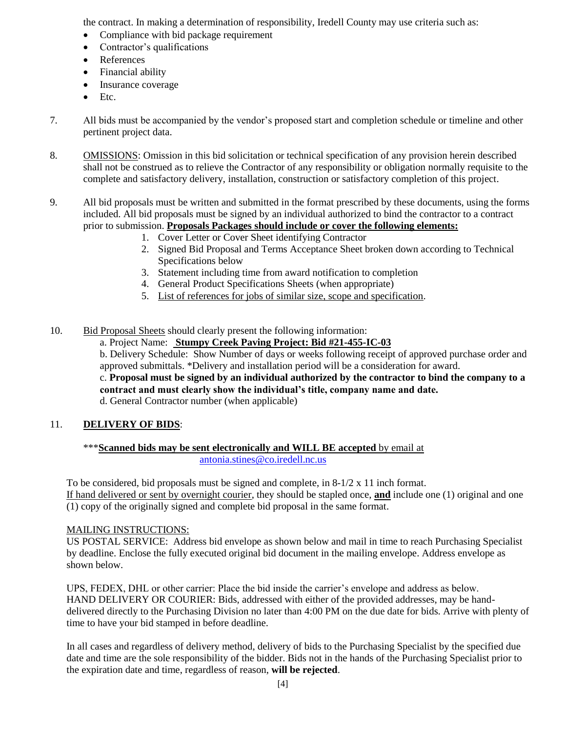the contract. In making a determination of responsibility, Iredell County may use criteria such as:

- Compliance with bid package requirement
- Contractor's qualifications
- References
- Financial ability
- Insurance coverage
- $\bullet$  Etc.
- 7. All bids must be accompanied by the vendor's proposed start and completion schedule or timeline and other pertinent project data.
- 8. OMISSIONS: Omission in this bid solicitation or technical specification of any provision herein described shall not be construed as to relieve the Contractor of any responsibility or obligation normally requisite to the complete and satisfactory delivery, installation, construction or satisfactory completion of this project.
- 9. All bid proposals must be written and submitted in the format prescribed by these documents, using the forms included. All bid proposals must be signed by an individual authorized to bind the contractor to a contract prior to submission. **Proposals Packages should include or cover the following elements:**
	- 1. Cover Letter or Cover Sheet identifying Contractor
	- 2. Signed Bid Proposal and Terms Acceptance Sheet broken down according to Technical Specifications below
	- 3. Statement including time from award notification to completion
	- 4. General Product Specifications Sheets (when appropriate)
	- 5. List of references for jobs of similar size, scope and specification.

10. Bid Proposal Sheets should clearly present the following information: a. Project Name: **Stumpy Creek Paving Project: Bid #21-455-IC-03** b. Delivery Schedule: Show Number of days or weeks following receipt of approved purchase order and approved submittals. \*Delivery and installation period will be a consideration for award. c. **Proposal must be signed by an individual authorized by the contractor to bind the company to a contract and must clearly show the individual's title, company name and date.**

d. General Contractor number (when applicable)

#### 11. **DELIVERY OF BIDS**:

#### \*\*\***Scanned bids may be sent electronically and WILL BE accepted** by email at [antonia.stines@co.iredell.nc.us](mailto:antonia.stines@co.iredell.nc.us)

To be considered, bid proposals must be signed and complete, in  $8-1/2 \times 11$  inch format. If hand delivered or sent by overnight courier, they should be stapled once, **and** include one (1) original and one (1) copy of the originally signed and complete bid proposal in the same format.

#### MAILING INSTRUCTIONS:

US POSTAL SERVICE: Address bid envelope as shown below and mail in time to reach Purchasing Specialist by deadline. Enclose the fully executed original bid document in the mailing envelope. Address envelope as shown below.

UPS, FEDEX, DHL or other carrier: Place the bid inside the carrier's envelope and address as below. HAND DELIVERY OR COURIER: Bids, addressed with either of the provided addresses, may be handdelivered directly to the Purchasing Division no later than 4:00 PM on the due date for bids. Arrive with plenty of time to have your bid stamped in before deadline.

In all cases and regardless of delivery method, delivery of bids to the Purchasing Specialist by the specified due date and time are the sole responsibility of the bidder. Bids not in the hands of the Purchasing Specialist prior to the expiration date and time, regardless of reason, **will be rejected**.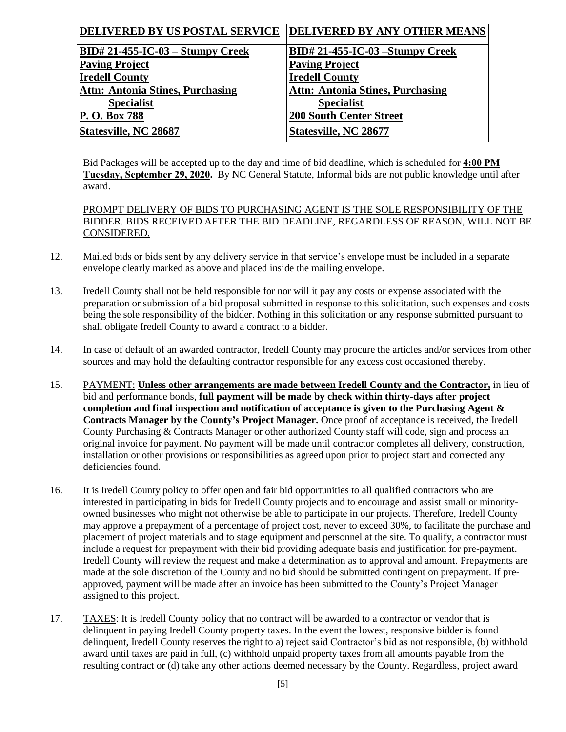| DELIVERED BY US POSTAL SERVICE          | <b>DELIVERED BY ANY OTHER MEANS</b>     |
|-----------------------------------------|-----------------------------------------|
| $BID# 21-455-IC-03 - Stumpy Creek$      | $BID# 21-455-IC-03 - Stumpy Creek$      |
| <b>Paving Project</b>                   | <b>Paving Project</b>                   |
| <b>Iredell County</b>                   | <b>Iredell County</b>                   |
| <b>Attn: Antonia Stines, Purchasing</b> | <b>Attn: Antonia Stines, Purchasing</b> |
| <b>Specialist</b>                       | <b>Specialist</b>                       |
| P. O. Box 788                           | <b>200 South Center Street</b>          |
| Statesville, NC 28687                   | <b>Statesville, NC 28677</b>            |

Bid Packages will be accepted up to the day and time of bid deadline, which is scheduled for **4:00 PM Tuesday, September 29, 2020.** By NC General Statute, Informal bids are not public knowledge until after award.

PROMPT DELIVERY OF BIDS TO PURCHASING AGENT IS THE SOLE RESPONSIBILITY OF THE BIDDER. BIDS RECEIVED AFTER THE BID DEADLINE, REGARDLESS OF REASON, WILL NOT BE CONSIDERED.

- 12. Mailed bids or bids sent by any delivery service in that service's envelope must be included in a separate envelope clearly marked as above and placed inside the mailing envelope.
- 13. Iredell County shall not be held responsible for nor will it pay any costs or expense associated with the preparation or submission of a bid proposal submitted in response to this solicitation, such expenses and costs being the sole responsibility of the bidder. Nothing in this solicitation or any response submitted pursuant to shall obligate Iredell County to award a contract to a bidder.
- 14. In case of default of an awarded contractor, Iredell County may procure the articles and/or services from other sources and may hold the defaulting contractor responsible for any excess cost occasioned thereby.
- 15. PAYMENT: **Unless other arrangements are made between Iredell County and the Contractor,** in lieu of bid and performance bonds, **full payment will be made by check within thirty-days after project completion and final inspection and notification of acceptance is given to the Purchasing Agent & Contracts Manager by the County's Project Manager.** Once proof of acceptance is received, the Iredell County Purchasing & Contracts Manager or other authorized County staff will code, sign and process an original invoice for payment. No payment will be made until contractor completes all delivery, construction, installation or other provisions or responsibilities as agreed upon prior to project start and corrected any deficiencies found.
- 16. It is Iredell County policy to offer open and fair bid opportunities to all qualified contractors who are interested in participating in bids for Iredell County projects and to encourage and assist small or minorityowned businesses who might not otherwise be able to participate in our projects. Therefore, Iredell County may approve a prepayment of a percentage of project cost, never to exceed 30%, to facilitate the purchase and placement of project materials and to stage equipment and personnel at the site. To qualify, a contractor must include a request for prepayment with their bid providing adequate basis and justification for pre-payment. Iredell County will review the request and make a determination as to approval and amount. Prepayments are made at the sole discretion of the County and no bid should be submitted contingent on prepayment. If preapproved, payment will be made after an invoice has been submitted to the County's Project Manager assigned to this project.
- 17. TAXES: It is Iredell County policy that no contract will be awarded to a contractor or vendor that is delinquent in paying Iredell County property taxes. In the event the lowest, responsive bidder is found delinquent, Iredell County reserves the right to a) reject said Contractor's bid as not responsible, (b) withhold award until taxes are paid in full, (c) withhold unpaid property taxes from all amounts payable from the resulting contract or (d) take any other actions deemed necessary by the County. Regardless, project award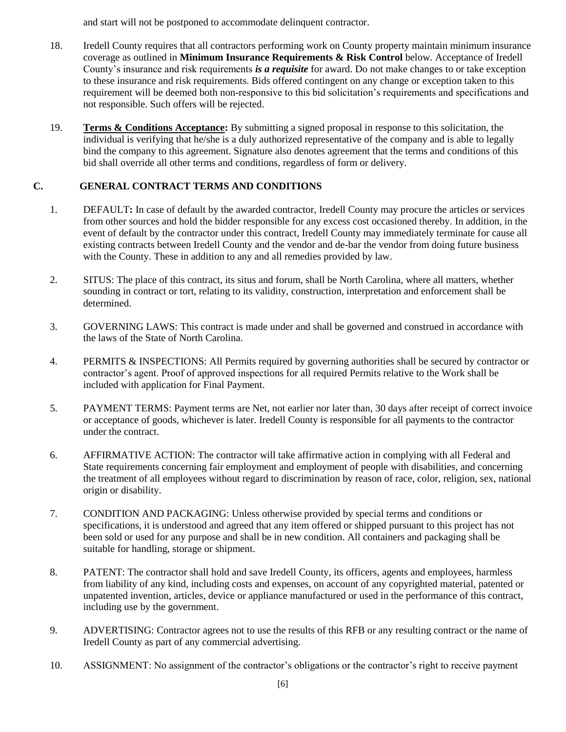and start will not be postponed to accommodate delinquent contractor.

- 18. Iredell County requires that all contractors performing work on County property maintain minimum insurance coverage as outlined in **Minimum Insurance Requirements & Risk Control** below. Acceptance of Iredell County's insurance and risk requirements *is a requisite* for award. Do not make changes to or take exception to these insurance and risk requirements. Bids offered contingent on any change or exception taken to this requirement will be deemed both non-responsive to this bid solicitation's requirements and specifications and not responsible. Such offers will be rejected.
- 19. **Terms & Conditions Acceptance:** By submitting a signed proposal in response to this solicitation, the individual is verifying that he/she is a duly authorized representative of the company and is able to legally bind the company to this agreement. Signature also denotes agreement that the terms and conditions of this bid shall override all other terms and conditions, regardless of form or delivery.

#### **C. GENERAL CONTRACT TERMS AND CONDITIONS**

- 1. DEFAULT**:** In case of default by the awarded contractor, Iredell County may procure the articles or services from other sources and hold the bidder responsible for any excess cost occasioned thereby. In addition, in the event of default by the contractor under this contract, Iredell County may immediately terminate for cause all existing contracts between Iredell County and the vendor and de-bar the vendor from doing future business with the County. These in addition to any and all remedies provided by law.
- 2. SITUS: The place of this contract, its situs and forum, shall be North Carolina, where all matters, whether sounding in contract or tort, relating to its validity, construction, interpretation and enforcement shall be determined.
- 3. GOVERNING LAWS: This contract is made under and shall be governed and construed in accordance with the laws of the State of North Carolina.
- 4. PERMITS & INSPECTIONS: All Permits required by governing authorities shall be secured by contractor or contractor's agent. Proof of approved inspections for all required Permits relative to the Work shall be included with application for Final Payment.
- 5. PAYMENT TERMS: Payment terms are Net, not earlier nor later than, 30 days after receipt of correct invoice or acceptance of goods, whichever is later. Iredell County is responsible for all payments to the contractor under the contract.
- 6. AFFIRMATIVE ACTION: The contractor will take affirmative action in complying with all Federal and State requirements concerning fair employment and employment of people with disabilities, and concerning the treatment of all employees without regard to discrimination by reason of race, color, religion, sex, national origin or disability.
- 7. CONDITION AND PACKAGING: Unless otherwise provided by special terms and conditions or specifications, it is understood and agreed that any item offered or shipped pursuant to this project has not been sold or used for any purpose and shall be in new condition. All containers and packaging shall be suitable for handling, storage or shipment.
- 8. PATENT: The contractor shall hold and save Iredell County, its officers, agents and employees, harmless from liability of any kind, including costs and expenses, on account of any copyrighted material, patented or unpatented invention, articles, device or appliance manufactured or used in the performance of this contract, including use by the government.
- 9. ADVERTISING: Contractor agrees not to use the results of this RFB or any resulting contract or the name of Iredell County as part of any commercial advertising.
- 10. ASSIGNMENT: No assignment of the contractor's obligations or the contractor's right to receive payment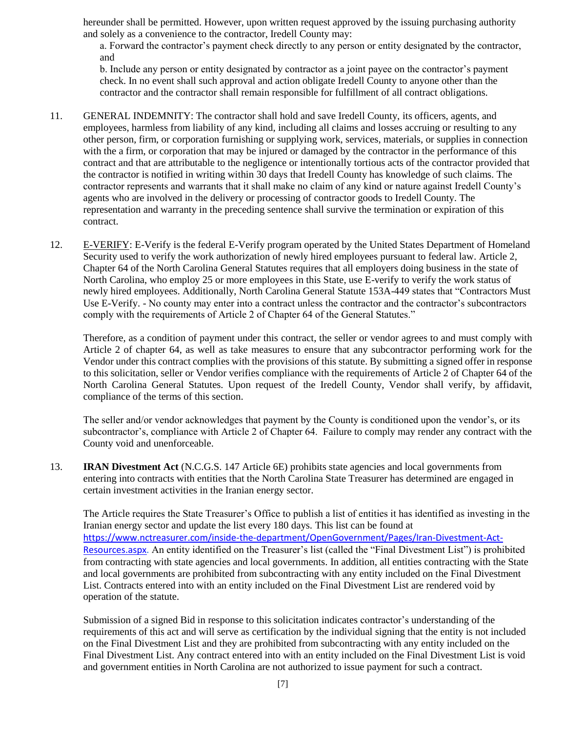hereunder shall be permitted. However, upon written request approved by the issuing purchasing authority and solely as a convenience to the contractor, Iredell County may:

a. Forward the contractor's payment check directly to any person or entity designated by the contractor, and

b. Include any person or entity designated by contractor as a joint payee on the contractor's payment check. In no event shall such approval and action obligate Iredell County to anyone other than the contractor and the contractor shall remain responsible for fulfillment of all contract obligations.

- 11. GENERAL INDEMNITY: The contractor shall hold and save Iredell County, its officers, agents, and employees, harmless from liability of any kind, including all claims and losses accruing or resulting to any other person, firm, or corporation furnishing or supplying work, services, materials, or supplies in connection with the a firm, or corporation that may be injured or damaged by the contractor in the performance of this contract and that are attributable to the negligence or intentionally tortious acts of the contractor provided that the contractor is notified in writing within 30 days that Iredell County has knowledge of such claims. The contractor represents and warrants that it shall make no claim of any kind or nature against Iredell County's agents who are involved in the delivery or processing of contractor goods to Iredell County. The representation and warranty in the preceding sentence shall survive the termination or expiration of this contract.
- 12. E-VERIFY: E-Verify is the federal E-Verify program operated by the United States Department of Homeland Security used to verify the work authorization of newly hired employees pursuant to federal law. Article 2, Chapter 64 of the North Carolina General Statutes requires that all employers doing business in the state of North Carolina, who employ 25 or more employees in this State, use E-verify to verify the work status of newly hired employees. Additionally, North Carolina General Statute 153A-449 states that "Contractors Must Use E-Verify. - No county may enter into a contract unless the contractor and the contractor's subcontractors comply with the requirements of Article 2 of Chapter 64 of the General Statutes."

Therefore, as a condition of payment under this contract, the seller or vendor agrees to and must comply with Article 2 of chapter 64, as well as take measures to ensure that any subcontractor performing work for the Vendor under this contract complies with the provisions of this statute. By submitting a signed offer in response to this solicitation, seller or Vendor verifies compliance with the requirements of Article 2 of Chapter 64 of the North Carolina General Statutes. Upon request of the Iredell County, Vendor shall verify, by affidavit, compliance of the terms of this section.

The seller and/or vendor acknowledges that payment by the County is conditioned upon the vendor's, or its subcontractor's, compliance with Article 2 of Chapter 64. Failure to comply may render any contract with the County void and unenforceable.

13. **IRAN Divestment Act** (N.C.G.S. 147 Article 6E) prohibits state agencies and local governments from entering into contracts with entities that the North Carolina State Treasurer has determined are engaged in certain investment activities in the Iranian energy sector.

The Article requires the State Treasurer's Office to publish a list of entities it has identified as investing in the Iranian energy sector and update the list every 180 days. This list can be found at [https://www.nctreasurer.com/inside-the-department/OpenGovernment/Pages/Iran-Divestment-Act-](https://www.nctreasurer.com/inside-the-department/OpenGovernment/Pages/Iran-Divestment-Act-Resources.aspx)[Resources.aspx.](https://www.nctreasurer.com/inside-the-department/OpenGovernment/Pages/Iran-Divestment-Act-Resources.aspx) An entity identified on the Treasurer's list (called the "Final Divestment List") is prohibited from contracting with state agencies and local governments. In addition, all entities contracting with the State and local governments are prohibited from subcontracting with any entity included on the Final Divestment List. Contracts entered into with an entity included on the Final Divestment List are rendered void by operation of the statute.

Submission of a signed Bid in response to this solicitation indicates contractor's understanding of the requirements of this act and will serve as certification by the individual signing that the entity is not included on the Final Divestment List and they are prohibited from subcontracting with any entity included on the Final Divestment List. Any contract entered into with an entity included on the Final Divestment List is void and government entities in North Carolina are not authorized to issue payment for such a contract.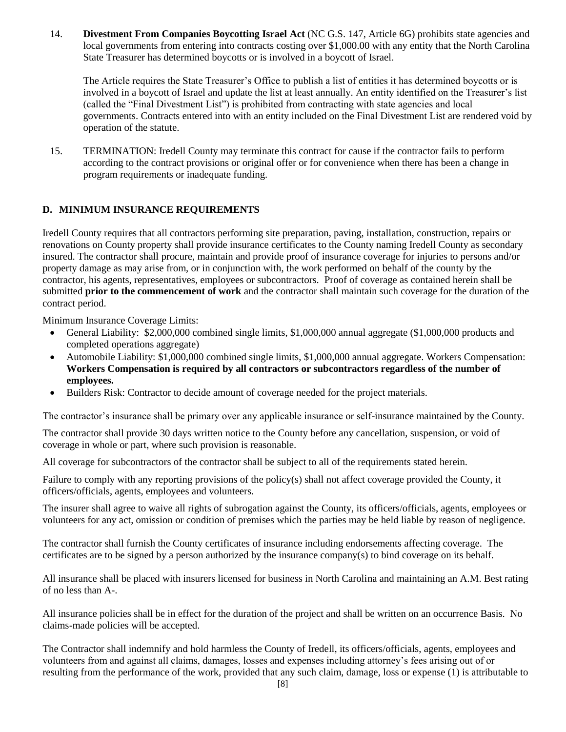14. **Divestment From Companies Boycotting Israel Act** (NC G.S. 147, Article 6G) prohibits state agencies and local governments from entering into contracts costing over \$1,000.00 with any entity that the North Carolina State Treasurer has determined boycotts or is involved in a boycott of Israel.

The Article requires the State Treasurer's Office to publish a list of entities it has determined boycotts or is involved in a boycott of Israel and update the list at least annually. An entity identified on the Treasurer's list (called the "Final Divestment List") is prohibited from contracting with state agencies and local governments. Contracts entered into with an entity included on the Final Divestment List are rendered void by operation of the statute.

15. TERMINATION: Iredell County may terminate this contract for cause if the contractor fails to perform according to the contract provisions or original offer or for convenience when there has been a change in program requirements or inadequate funding.

#### **D. MINIMUM INSURANCE REQUIREMENTS**

Iredell County requires that all contractors performing site preparation, paving, installation, construction, repairs or renovations on County property shall provide insurance certificates to the County naming Iredell County as secondary insured. The contractor shall procure, maintain and provide proof of insurance coverage for injuries to persons and/or property damage as may arise from, or in conjunction with, the work performed on behalf of the county by the contractor, his agents, representatives, employees or subcontractors. Proof of coverage as contained herein shall be submitted **prior to the commencement of work** and the contractor shall maintain such coverage for the duration of the contract period.

Minimum Insurance Coverage Limits:

- General Liability: \$2,000,000 combined single limits, \$1,000,000 annual aggregate (\$1,000,000 products and completed operations aggregate)
- Automobile Liability: \$1,000,000 combined single limits, \$1,000,000 annual aggregate. Workers Compensation: **Workers Compensation is required by all contractors or subcontractors regardless of the number of employees.**
- Builders Risk: Contractor to decide amount of coverage needed for the project materials.

The contractor's insurance shall be primary over any applicable insurance or self-insurance maintained by the County.

The contractor shall provide 30 days written notice to the County before any cancellation, suspension, or void of coverage in whole or part, where such provision is reasonable.

All coverage for subcontractors of the contractor shall be subject to all of the requirements stated herein.

Failure to comply with any reporting provisions of the policy(s) shall not affect coverage provided the County, it officers/officials, agents, employees and volunteers.

The insurer shall agree to waive all rights of subrogation against the County, its officers/officials, agents, employees or volunteers for any act, omission or condition of premises which the parties may be held liable by reason of negligence.

The contractor shall furnish the County certificates of insurance including endorsements affecting coverage. The certificates are to be signed by a person authorized by the insurance company(s) to bind coverage on its behalf.

All insurance shall be placed with insurers licensed for business in North Carolina and maintaining an A.M. Best rating of no less than A-.

All insurance policies shall be in effect for the duration of the project and shall be written on an occurrence Basis. No claims-made policies will be accepted.

The Contractor shall indemnify and hold harmless the County of Iredell, its officers/officials, agents, employees and volunteers from and against all claims, damages, losses and expenses including attorney's fees arising out of or resulting from the performance of the work, provided that any such claim, damage, loss or expense (1) is attributable to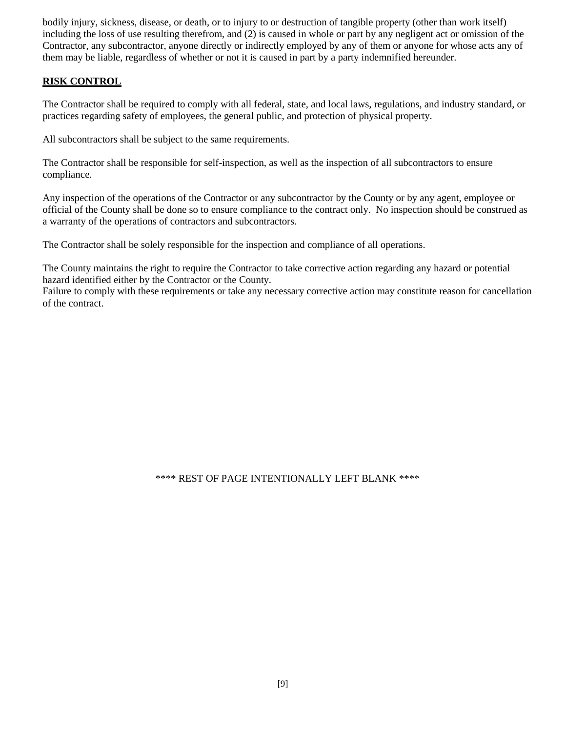bodily injury, sickness, disease, or death, or to injury to or destruction of tangible property (other than work itself) including the loss of use resulting therefrom, and (2) is caused in whole or part by any negligent act or omission of the Contractor, any subcontractor, anyone directly or indirectly employed by any of them or anyone for whose acts any of them may be liable, regardless of whether or not it is caused in part by a party indemnified hereunder.

#### **RISK CONTROL**

The Contractor shall be required to comply with all federal, state, and local laws, regulations, and industry standard, or practices regarding safety of employees, the general public, and protection of physical property.

All subcontractors shall be subject to the same requirements.

The Contractor shall be responsible for self-inspection, as well as the inspection of all subcontractors to ensure compliance.

Any inspection of the operations of the Contractor or any subcontractor by the County or by any agent, employee or official of the County shall be done so to ensure compliance to the contract only. No inspection should be construed as a warranty of the operations of contractors and subcontractors.

The Contractor shall be solely responsible for the inspection and compliance of all operations.

The County maintains the right to require the Contractor to take corrective action regarding any hazard or potential hazard identified either by the Contractor or the County.

Failure to comply with these requirements or take any necessary corrective action may constitute reason for cancellation of the contract.

\*\*\*\* REST OF PAGE INTENTIONALLY LEFT BLANK \*\*\*\*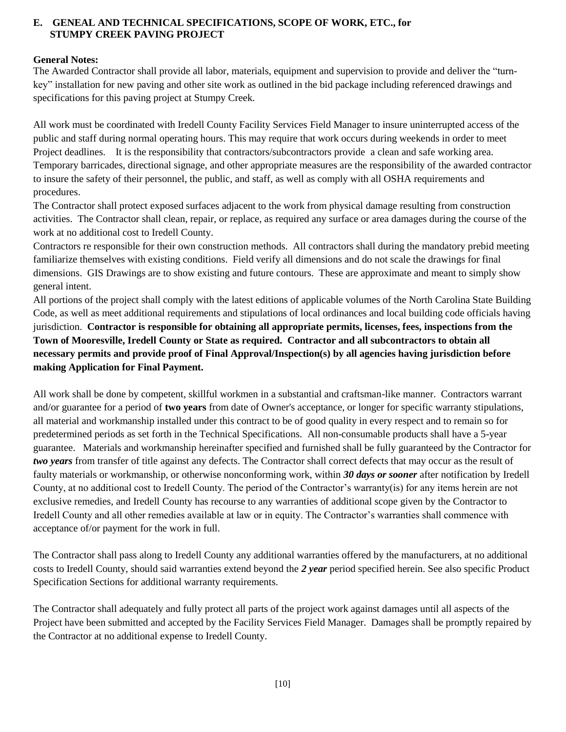#### **E. GENEAL AND TECHNICAL SPECIFICATIONS, SCOPE OF WORK, ETC., for STUMPY CREEK PAVING PROJECT**

#### **General Notes:**

The Awarded Contractor shall provide all labor, materials, equipment and supervision to provide and deliver the "turnkey" installation for new paving and other site work as outlined in the bid package including referenced drawings and specifications for this paving project at Stumpy Creek.

All work must be coordinated with Iredell County Facility Services Field Manager to insure uninterrupted access of the public and staff during normal operating hours. This may require that work occurs during weekends in order to meet Project deadlines. It is the responsibility that contractors/subcontractors provide a clean and safe working area. Temporary barricades, directional signage, and other appropriate measures are the responsibility of the awarded contractor to insure the safety of their personnel, the public, and staff, as well as comply with all OSHA requirements and procedures.

The Contractor shall protect exposed surfaces adjacent to the work from physical damage resulting from construction activities. The Contractor shall clean, repair, or replace, as required any surface or area damages during the course of the work at no additional cost to Iredell County.

Contractors re responsible for their own construction methods. All contractors shall during the mandatory prebid meeting familiarize themselves with existing conditions. Field verify all dimensions and do not scale the drawings for final dimensions. GIS Drawings are to show existing and future contours. These are approximate and meant to simply show general intent.

All portions of the project shall comply with the latest editions of applicable volumes of the North Carolina State Building Code, as well as meet additional requirements and stipulations of local ordinances and local building code officials having jurisdiction. **Contractor is responsible for obtaining all appropriate permits, licenses, fees, inspections from the Town of Mooresville, Iredell County or State as required. Contractor and all subcontractors to obtain all necessary permits and provide proof of Final Approval/Inspection(s) by all agencies having jurisdiction before making Application for Final Payment.**

All work shall be done by competent, skillful workmen in a substantial and craftsman-like manner. Contractors warrant and/or guarantee for a period of **two years** from date of Owner's acceptance, or longer for specific warranty stipulations, all material and workmanship installed under this contract to be of good quality in every respect and to remain so for predetermined periods as set forth in the Technical Specifications. All non-consumable products shall have a 5-year guarantee. Materials and workmanship hereinafter specified and furnished shall be fully guaranteed by the Contractor for *two years* from transfer of title against any defects. The Contractor shall correct defects that may occur as the result of faulty materials or workmanship, or otherwise nonconforming work, within *30 days or sooner* after notification by Iredell County, at no additional cost to Iredell County. The period of the Contractor's warranty(is) for any items herein are not exclusive remedies, and Iredell County has recourse to any warranties of additional scope given by the Contractor to Iredell County and all other remedies available at law or in equity. The Contractor's warranties shall commence with acceptance of/or payment for the work in full.

The Contractor shall pass along to Iredell County any additional warranties offered by the manufacturers, at no additional costs to Iredell County, should said warranties extend beyond the *2 year* period specified herein. See also specific Product Specification Sections for additional warranty requirements.

The Contractor shall adequately and fully protect all parts of the project work against damages until all aspects of the Project have been submitted and accepted by the Facility Services Field Manager. Damages shall be promptly repaired by the Contractor at no additional expense to Iredell County.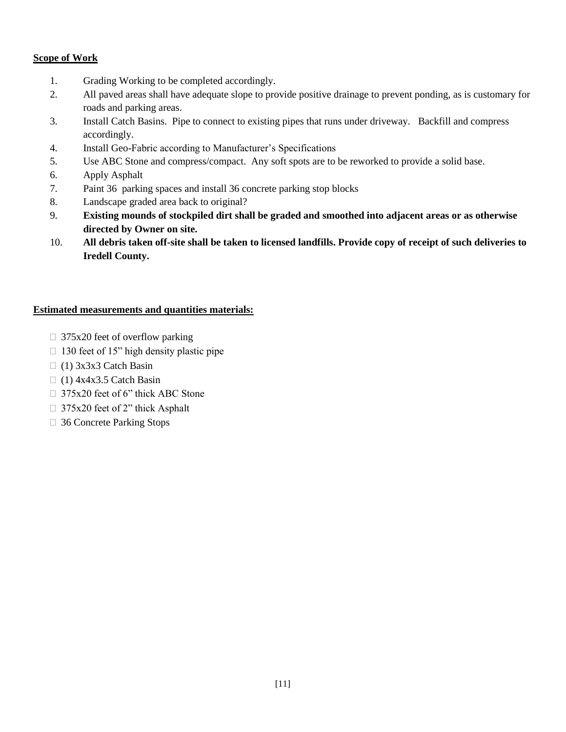#### **Scope of Work**

- 1. Grading Working to be completed accordingly.
- 2. All paved areas shall have adequate slope to provide positive drainage to prevent ponding, as is customary for roads and parking areas.
- 3. Install Catch Basins. Pipe to connect to existing pipes that runs under driveway. Backfill and compress accordingly.
- 4. Install Geo-Fabric according to Manufacturer's Specifications
- 5. Use ABC Stone and compress/compact. Any soft spots are to be reworked to provide a solid base.
- 6. Apply Asphalt
- 7. Paint 36 parking spaces and install 36 concrete parking stop blocks
- 8. Landscape graded area back to original?
- 9. **Existing mounds of stockpiled dirt shall be graded and smoothed into adjacent areas or as otherwise directed by Owner on site.**
- 10. **All debris taken off-site shall be taken to licensed landfills. Provide copy of receipt of such deliveries to Iredell County.**

#### **Estimated measurements and quantities materials:**

- $\Box$  375x20 feet of overflow parking
- $\Box$  130 feet of 15" high density plastic pipe
- $\Box$  (1) 3x3x3 Catch Basin
- $\Box$  (1) 4x4x3.5 Catch Basin
- □ 375x20 feet of 6" thick ABC Stone
- $\Box$  375x20 feet of 2" thick Asphalt
- □ 36 Concrete Parking Stops